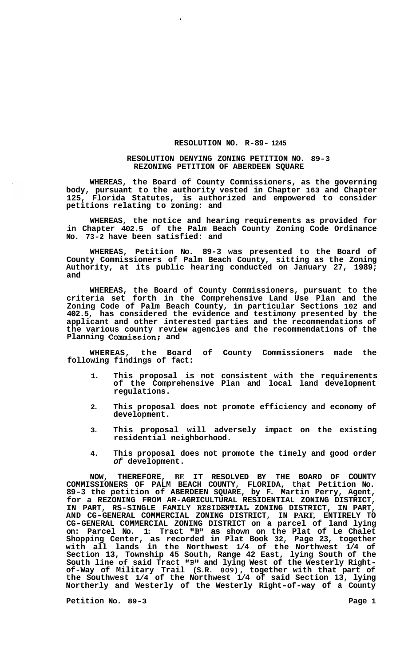## **RESOLUTION NO. R-89- 1245**

## **RESOLUTION DENYING ZONING PETITION NO. 89-3 REZONING PETITION OF ABERDEEN SQUARE**

**WHEREAS, the Board of County Commissioners, as the governing body, pursuant to the authority vested in Chapter 163 and Chapter 125, Florida Statutes, is authorized and empowered to consider petitions relating to zoning: and** 

**WHEREAS, the notice and hearing requirements as provided for in Chapter 402.5 of the Palm Beach County Zoning Code Ordinance No. 73-2 have been satisfied: and** 

**WHEREAS, Petition No. 89-3 was presented to the Board of County Commissioners of Palm Beach County, sitting as the Zoning Authority, at its public hearing conducted on January 27, 1989; and** 

**WHEREAS, the Board of County Commissioners, pursuant to the criteria set forth in the Comprehensive Land Use Plan and the Zoning Code of Palm Beach County, in particular Sections 102 and 402.5, has considered the evidence and testimony presented by the applicant and other interested parties and the recommendations of the various county review agencies and the recommendations of the Planning Commission: and** 

**WHEREAS, the Board of County Commissioners made the following findings of fact:** 

- **1. This proposal is not consistent with the requirements of the Comprehensive Plan and local land development regulations.**
- **2. This proposal does not promote efficiency and economy of development.**
- **3. This proposal will adversely impact on the existing residential neighborhood.**
- **4. This proposal does not promote the timely and good order**  *of* **development.**

**NOW, THEREFORE, BE IT RESOLVED BY THE BOARD OF COUNTY COMMISSIONERS OF PALM BEACH COUNTY, FLORIDA, that Petition No. 89-3 the petition of ABERDEEN SQUARE, by F. Martin Perry, Agent, for a REZONING FROM AR-AGRICULTURAL RESIDENTIAL ZONING DISTRICT, IN PART, RS-SINGLE FAMILY RESIDEWIAL ZONING DISTRICT, IN PART, AND CG-GENERAL COMMERCIAL ZONING DISTRICT, IN PART, ENTIRELY TO CG-GENERAL COMMERCIAL ZONING DISTRICT on a parcel of land lying on: Parcel No. 1: Tract "B1' as shown on the Plat of Le Chalet Shopping Center, as recorded in Plat Book 32, Page 23, together with all lands in the Northwest 1/4 of the Northwest 1/4 of Section 13, Township 45 South, Range 42 East, lying South of the South line of said Tract IrBt@ and lying West of the Westerly Right- of-Way of Military Trail (S.R.** *809),* **together with that part of the Southwest 1/4 of the Northwest 1/4 of said Section 13, lying Northerly and Westerly of the Westerly Right-of-way of a County** 

Petition No. 89-3 **Page 1 Page 1**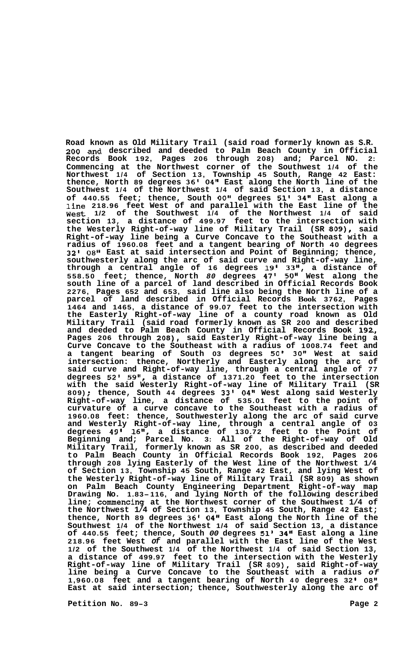**Road known as Old Military Trail (said road formerly known as S.R. 200 and described and deeded to Palm Beach County in Official Records Book 192, Pages 206 through 208) and; Parcel NO. 2: Commencing at the Northwest corner of the Southwest 1/4 of the Northwest 1/4 of Section 13, Township 45 South, Range 42 East: thence, North 89 degrees 36' 04" East along the North line of the Southwest 1/4 of the Northwest 1/4 of said Section 13, a distance of 440.55 feet; thence, South** *00"* **degrees 51' 34" East along a line 218.96 feet West of and parallel with the East line of the West 1/2 of the Southwest 1/4 of the Northwest 1/4 of said section 13, a distance of 499.97 feet to the intersection with the Westerly Right-of-way line of Military Trail (SR 809), said Right-of-way line being a Curve Concave to the Southeast with a radius of 1960.08 feet and a tangent bearing of North 40 degrees 32' 08l' East at said intersection and Point of Beginning; thence, southwesterly along the arc of said curve and Right-of-way line, through a central angle of 16 degrees 19' 33", a distance of 558.50 feet; thence, North** *80* **degrees 47' 50" West along the south line of a parcel of land described in Official Records Book 2276, Pages 652 and 653, said line also being the North line of a parcel of land described in Official Records Book 3762, Pages 1464 and 1465, a distance of 99.07 feet to the intersection with the Easterly Right-of-way line of a county road known as Old Military Trail (said road formerly known as SR 200 and described and deeded to Palm Beach County in Official Records Book 192,, Pages 206 through 208), said Easterly Right-of-way line being a Curve Concave to the Southeast with a radius of 1008.74 feet and a tangent bearing of South 03 degrees 50' 30" West at said intersection: thence, Northerly and Easterly along the arc of said curve and Right-of-way line, through a central angle of 77 degrees 52' 59", a distance of 1371.20 feet to the intersection with the said Westerly Right-of-way line of Military Trail (SR 809)** ; **thence, South 44 degrees 33' 04" West along said Westerly Right-of-way line, a distance of 535.01 feet to the point of curvature of a curve concave to the Southeast with a radius of 1960.08 feet: thence, Southwesterly along the arc of said curve and Westerly Right-of-way line, through a central angle of 03 degrees 49' 16", a distance of 130.72 feet to the Point of Beginning and; Parcel No. 3: All of the Right-of-way of Old Military Trail, formerly known as SR 200, as described and deeded to Palm Beach County in Official Records Book 192, Pages 206 through 208 lying Easterly of the West line of the Northwest 1/4 of Section 13, Township 45 South, Range 42 East, and lying West of the Westerly Right-of-way line of Military Trail (SR 809) as shown on Palm Beach County Engineering Department Right-of-way map Drawing No. 1.83-116, and lying North of the following described line; commencing at the Northwest corner of the Southwest 1/4 of the Northwest 1/4 of Section 13, Township 45 South, Range 42 East; thence, North 89 degrees 36' 04" East along the North line of the Southwest 1/4 of the Northwest 1/4 of said Section 13, a distance of 440.55 feet; thence, South** *00* **degrees 51' 34" East along a line 218.96 feet West** *of* **and parallel with the East line of the West 1/2 of the Southwest 1/4 of the Northwest 1/4 of said Section 13, a distance of 499.97 feet to the intersection with the Westerly Right-of-way line of Military Trail (SR 809), said Right-of-way line being a Curve Concave to the Southeast with a radius** *of*  **1,960.08 feet and a tangent bearing of North 40 degrees 32 I O8lf East at said intersection; thence, Southwesterly along the arc of** 

**Petition No. 89-3 Page 2**